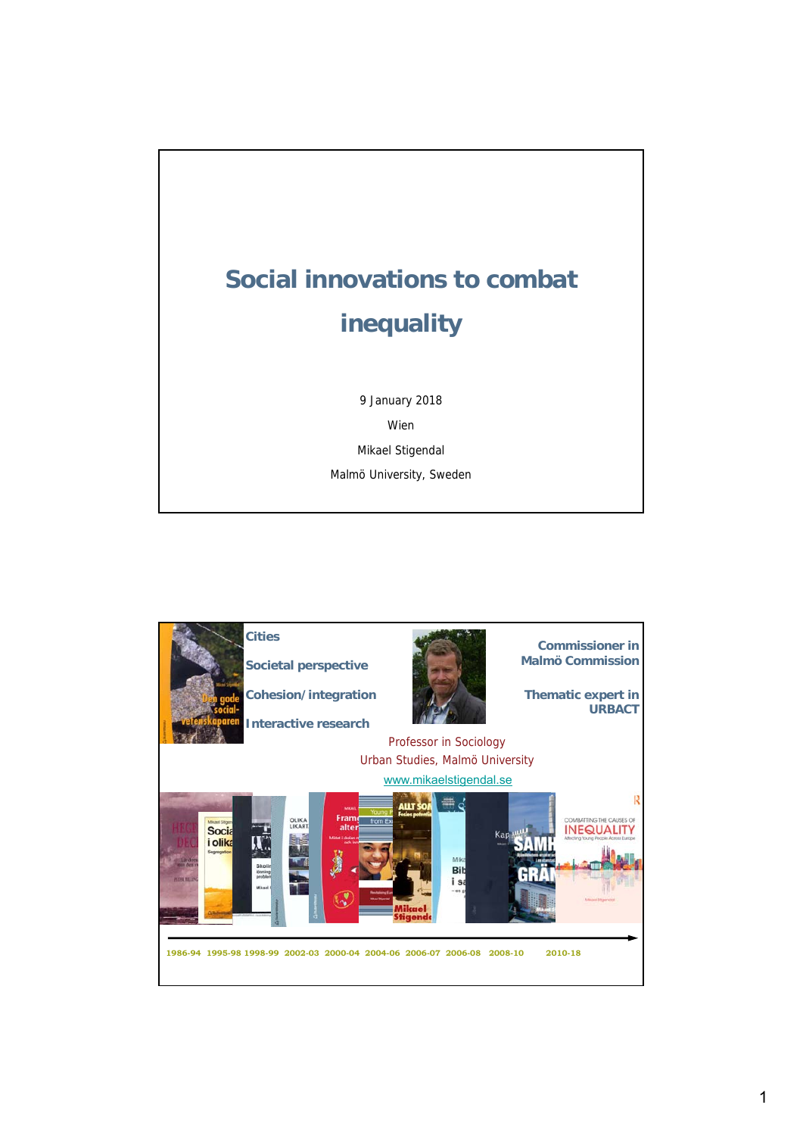

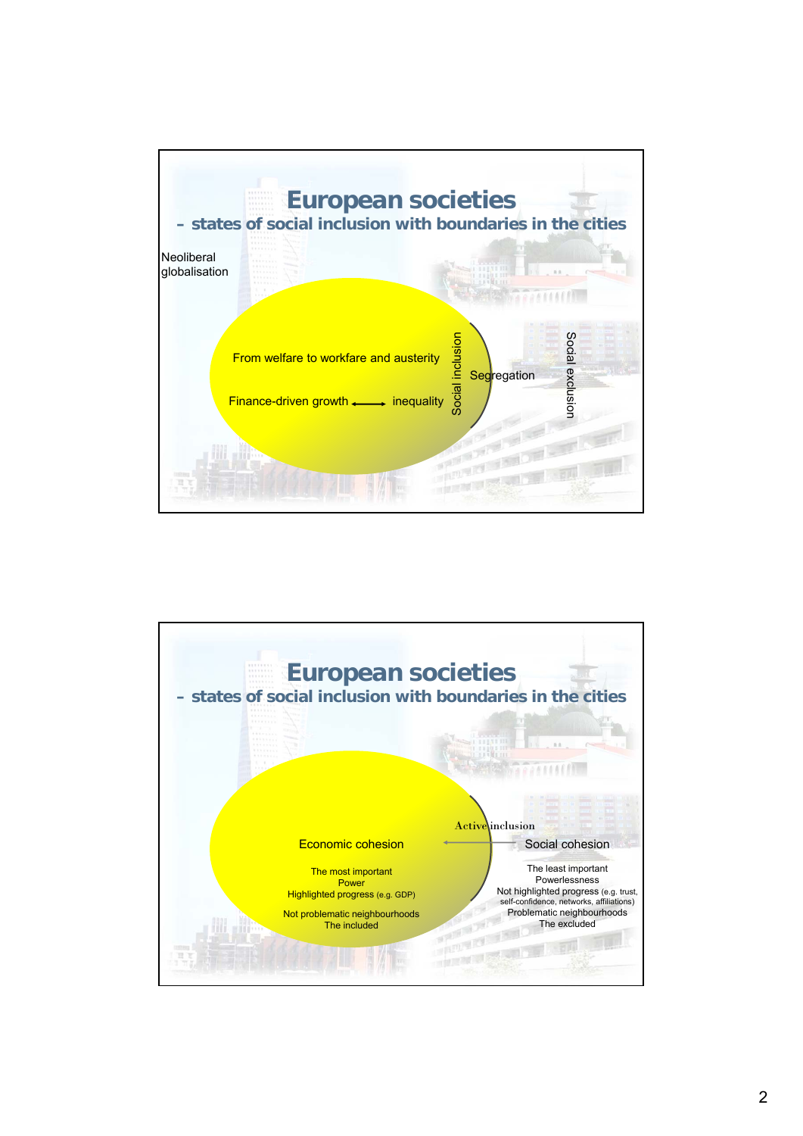

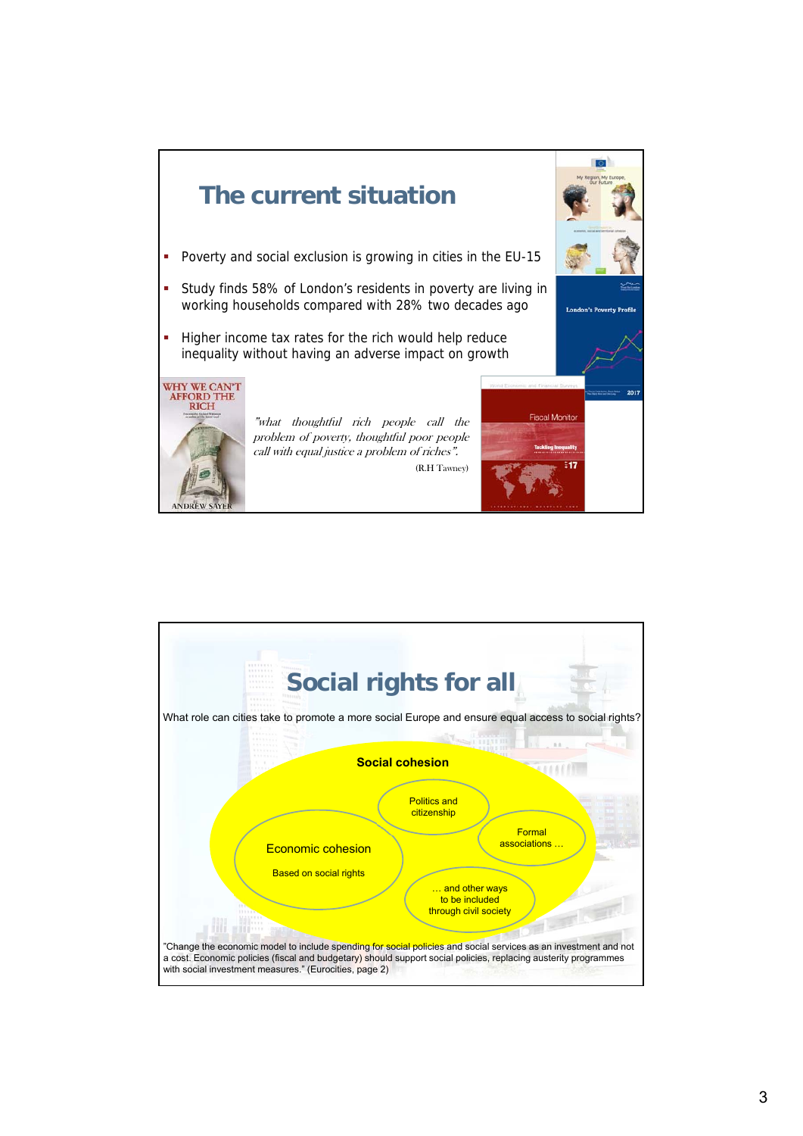![](_page_2_Figure_0.jpeg)

![](_page_2_Figure_1.jpeg)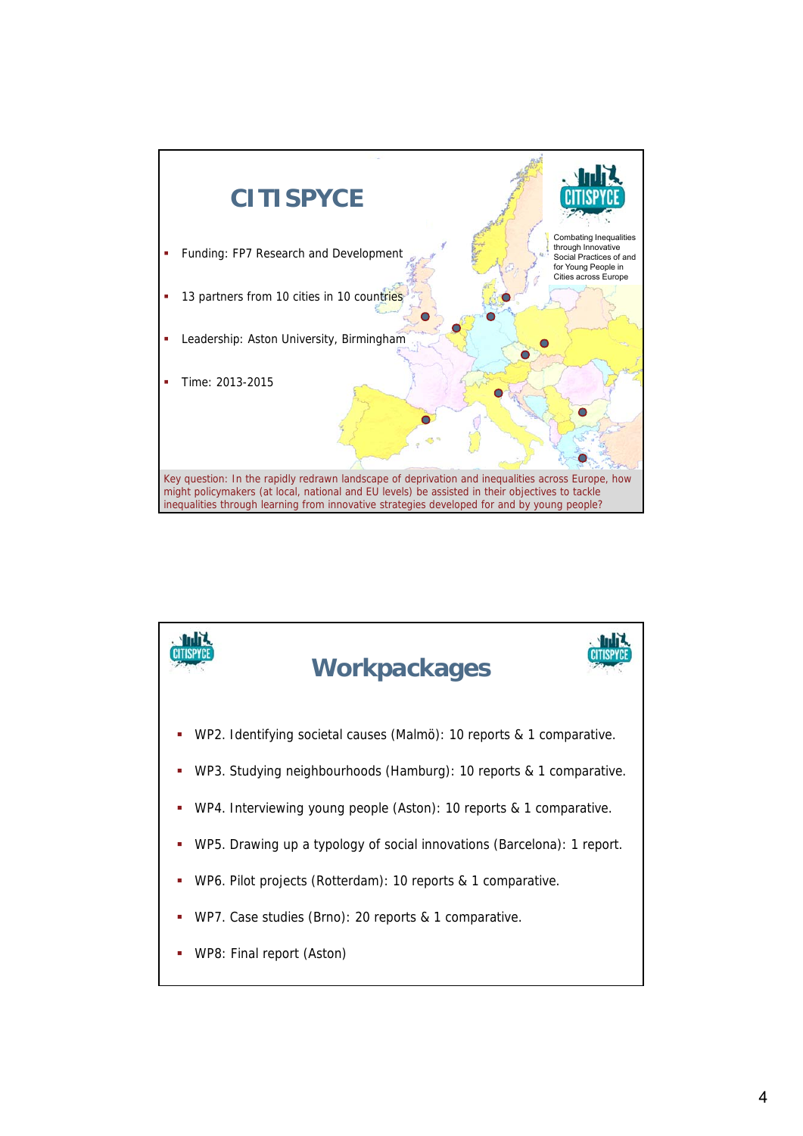![](_page_3_Figure_0.jpeg)

![](_page_3_Figure_1.jpeg)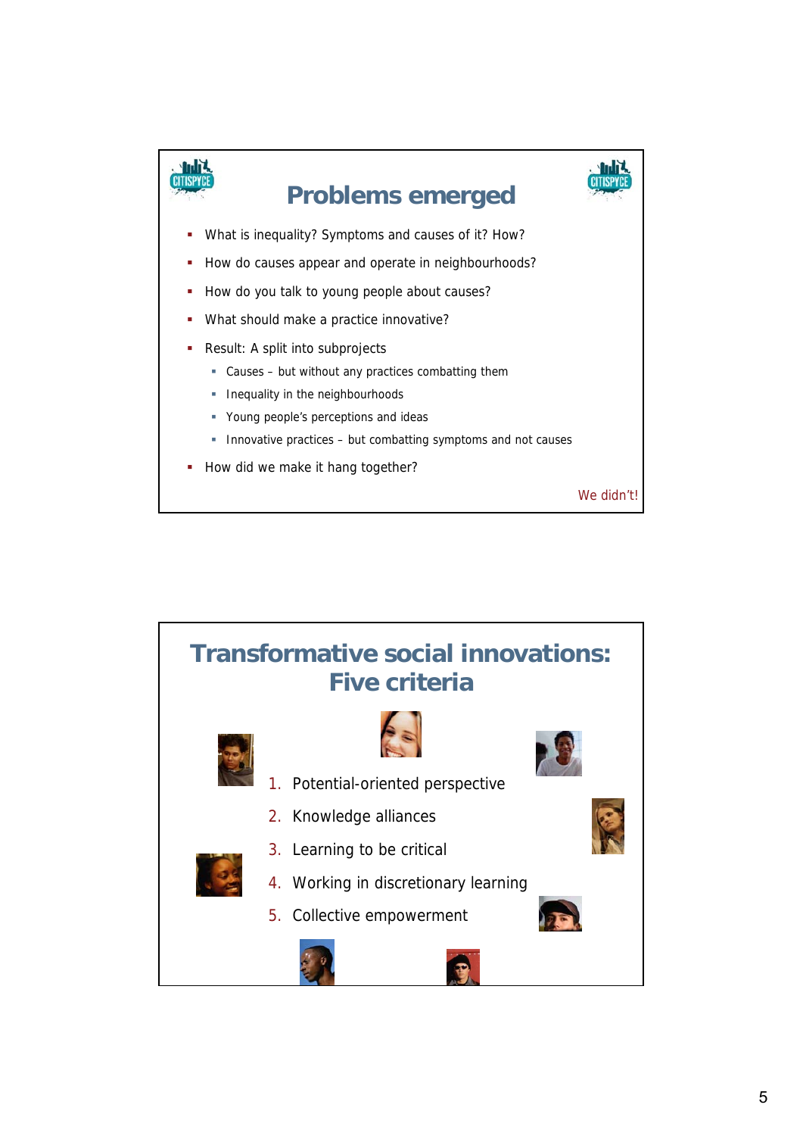![](_page_4_Figure_0.jpeg)

![](_page_4_Figure_1.jpeg)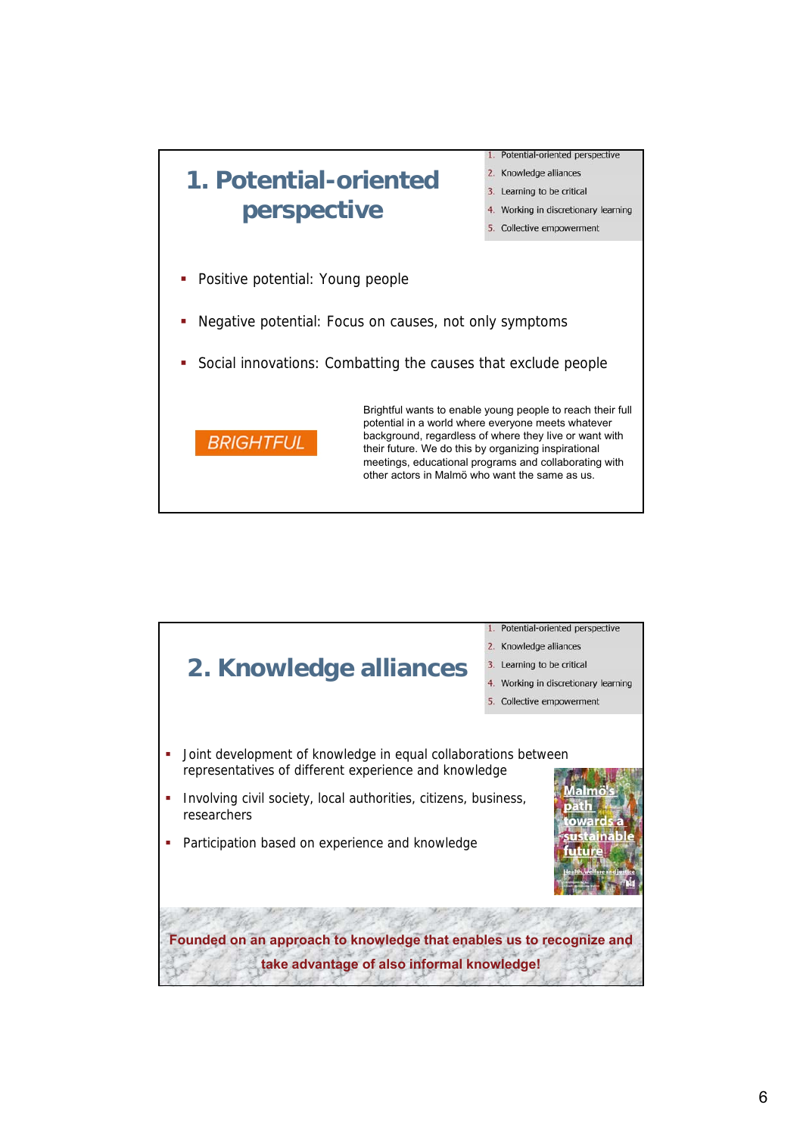![](_page_5_Figure_0.jpeg)

![](_page_5_Figure_1.jpeg)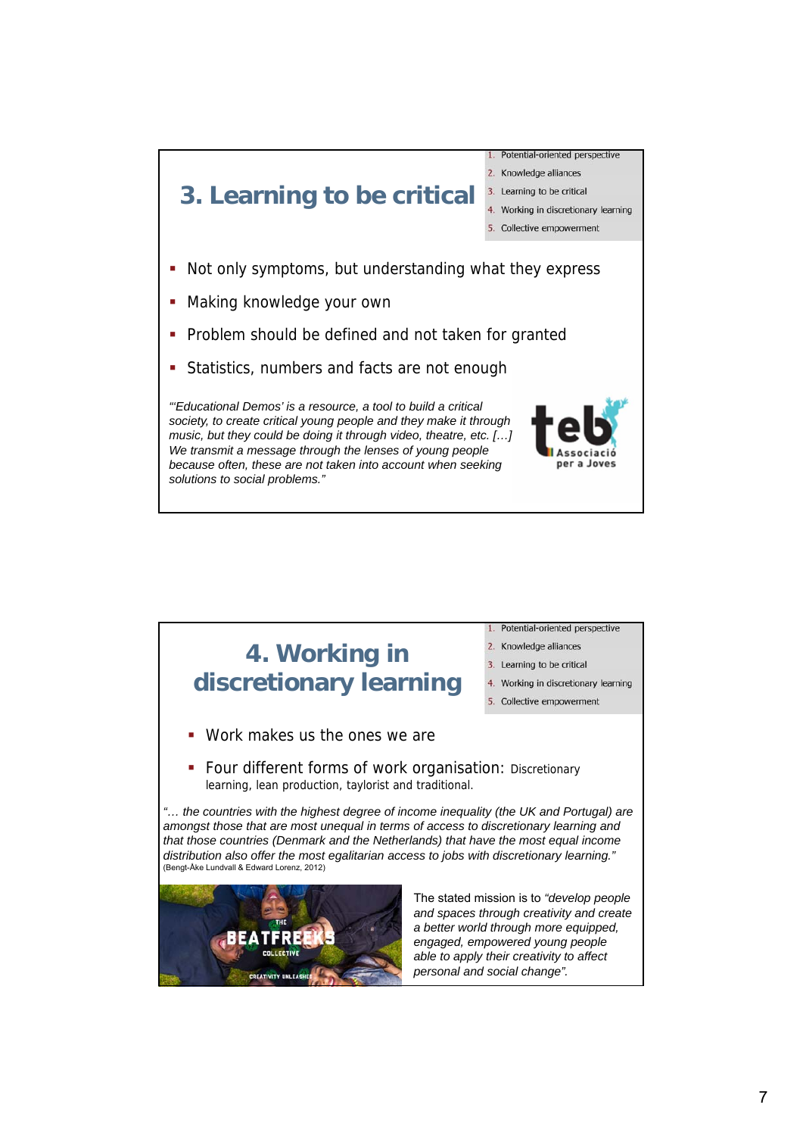![](_page_6_Figure_0.jpeg)

![](_page_6_Picture_1.jpeg)